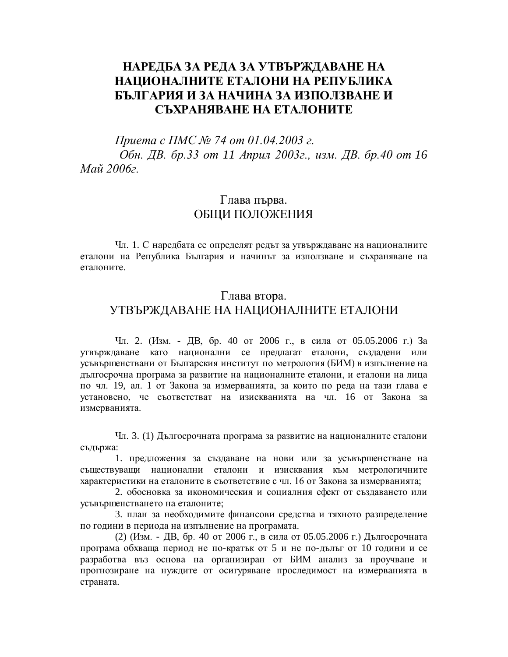# НАРЕДБА ЗА РЕДА ЗА УТВЪРЖДАВАНЕ НА НАЦИОНАЛНИТЕ ЕТАЛОНИ НА РЕПУБЛИКА **БЪЛГАРИЯ И ЗА НАЧИНА ЗА ИЗПОЛЗВАНЕ И** СЪХРАНЯВАНЕ НА ЕТАЛОНИТЕ

*∏puema c ∏MC № 74 om 01.04.2003 г. Обн. ДВ. бр.33 от 11 Април 2003г., изм. ДВ. бр.40 от 16 Maŭ* 2006<sub>2</sub>.

#### Глава първа. ОБЩИ ПОЛОЖЕНИЯ

Чл. 1. С наредбата се определят редът за утвърждаване на националните еталони на Република България и начинът за използване и съхраняване на еталоните.

## Глава втора. УТВЪРЖДАВАНЕ НА НАЦИОНАЛНИТЕ ЕТАЛОНИ

Чл. 2. (Изм. - ДВ, бр. 40 от 2006 г., в сила от 05.05.2006 г.) За утвърждаване като национални се предлагат еталони, създадени или усъвършенствани от Българския институт по метрология (БИМ) в изпълнение на дългосрочна програма за развитие на националните еталони, и еталони на лица по чл. 19, ал. 1 от Закона за измерванията, за които по реда на тази глава е установено, че съответстват на изискванията на чл. 16 от Закона за измерванията.

Чл. 3. (1) Дългосрочната програма за развитие на националните еталони съдържа:

1. предложения за създаване на нови или за усъвършенстване на съществуващи национални еталони и изисквания към метрологичните характеристики на еталоните в съответствие с чл. 16 от Закона за измерванията;

2. обосновка за икономическия и социалния ефект от създаването или усъвършенстването на еталоните;

3. план за необходимите финансови средства и тяхното разпределение по години в периода на изпълнение на програмата.

(2) (Изм. - ДВ, бр. 40 от 2006 г., в сила от 05.05.2006 г.) Дългосрочната програма обхваща период не по-кратък от 5 и не по-дълъг от 10 години и се разработва въз основа на организиран от БИМ анализ за проучване и прогнозиране на нуждите от осигуряване проследимост на измерванията в страната.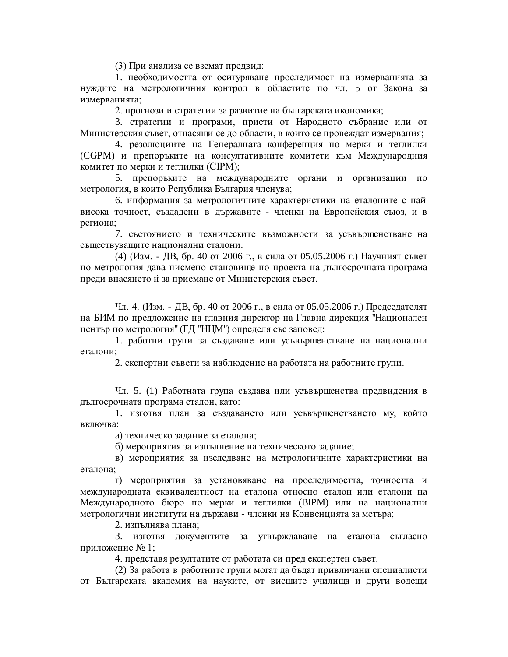(3) При анализа се вземат предвид:

1. необходимостта от осигуряване проследимост на измерванията за нуждите на метрологичния контрол в областите по чл. 5 от Закона за измерванията;

2. прогнози и стратегии за развитие на българската икономика;

3. стратегии и програми, приети от Народното събрание или от Министерския съвет, отнасящи се до области, в които се провеждат измервания;

4. резолюциите на Генералната конференция по мерки и теглилки (CGPM) и препоръките на консултативните комитети към Международния комитет по мерки и теглилки (CIPM);

5. препоръките на международните органи и организации по метрология, в които Република България членува;

6. информация за метрологичните характеристики на еталоните с найвисока точност, създадени в държавите - членки на Европейския съюз, и в региона;

7. състоянието и техническите възможности за усъвършенстване на съществуващите национални еталони.

(4)  $(M3M. - IB, 6p. 40$  от 2006 г., в сила от 05.05.2006 г.) Научният съвет по метрология дава писмено становище по проекта на дългосрочната програма преди внасянето й за приемане от Министерския съвет.

Чл. 4. (Изм. - ДВ, бр. 40 от 2006 г., в сила от 05.05.2006 г.) Председателят на БИМ по предложение на главния директор на Главна дирекция "Национален център по метрология" (ГД "НЦМ") определя със заповед:

1. работни групи за създаване или усъвършенстване на национални еталони:

2. експертни съвети за наблюдение на работата на работните групи.

Чл. 5. (1) Работната група създава или усъвършенства предвидения в дългосрочната програма еталон, като:

1. изготвя план за създаването или усъвършенстването му, който включва:

а) техническо задание за еталона;

б) мероприятия за изпълнение на техническото задание;

в) мероприятия за изследване на метрологичните характеристики на еталона:

г) мероприятия за установяване на проследимостта, точността и международната еквивалентност на еталона относно еталон или еталони на Международното бюро по мерки и теглилки (ВІРМ) или на национални метрологични институти на държави - членки на Конвенцията за метъра;

2. изпълнява плана;

3. изготвя документите за утвърждаване на еталона съгласно приложение № 1;

4. представя резултатите от работата си пред експертен съвет.

(2) За работа в работните групи могат да бъдат привличани специалисти от Българската академия на науките, от висшите училища и други водещи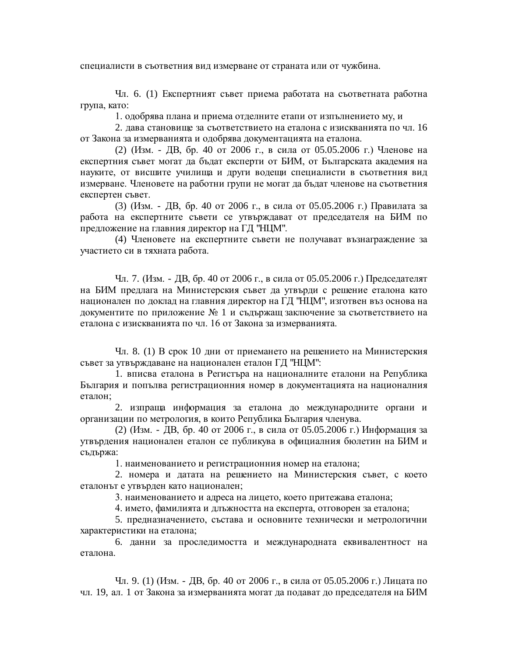специалисти в съответния вид измерване от страната или от чужбина.

Чл. 6. (1) Експертният съвет приема работата на съответната работна група, като:

1. одобрява плана и приема отделните етапи от изпълнението му, и

2. дава становище за съответствието на еталона с изискванията по чл. 16 от Закона за измерванията и одобрява документацията на еталона.

(2) (Изм. - ДВ, бр. 40 от 2006 г., в сила от 05.05.2006 г.) Членове на експертния съвет могат да бъдат експерти от БИМ, от Българската академия на науките, от висшите училища и други водещи специалисти в съответния вид измерване. Членовете на работни групи не могат да бъдат членове на съответния експертен съвет.

(3)  $(M3M. - HB, 6p. 40$  от 2006 г., в сила от 05.05.2006 г.) Правилата за работа на експертните съвети се утвърждават от председателя на БИМ по предложение на главния директор на ГД "НЦМ".

(4) Членовете на експертните съвети не получават възнаграждение за участието си в тяхната работа.

Чл. 7. (Изм. - ДВ, бр. 40 от 2006 г., в сила от 05.05.2006 г.) Председателят на БИМ предлага на Министерския съвет да утвърди с решение еталона като национален по доклад на главния директор на ГД "НЦМ", изготвен въз основа на документите по приложение № 1 и съдържащ заключение за съответствието на еталона с изискванията по чл. 16 от Закона за измерванията.

Чл. 8. (1) В срок 10 дни от приемането на решението на Министерския съвет за утвърждаване на национален еталон ГД "НЦМ":

1. вписва еталона в Регистъра на националните еталони на Република България и попълва регистрационния номер в документацията на националния еталон:

2. изпраща информация за еталона до международните органи и организации по метрология, в които Република България членува.

(2) (Изм. - ДВ, бр. 40 от 2006 г., в сила от 05.05.2006 г.) Информация за утвърдения национален еталон се публикува в официалния бюлетин на БИМ и съдържа:

1. наименованието и регистрационния номер на еталона;

2. номера и датата на решението на Министерския съвет, с което еталонът е утвърден като национален;

3. наименованието и адреса на лицето, което притежава еталона;

4. името, фамилията и длъжността на експерта, отговорен за еталона;

5. предназначението, състава и основните технически и метрологични характеристики на еталона;

6. данни за проследимостта и международната еквивалентност на еталона.

Чл. 9. (1) (Изм. - ДВ, бр. 40 от 2006 г., в сила от 05.05.2006 г.) Лицата по чл. 19, ал. 1 от Закона за измерванията могат да подават до председателя на БИМ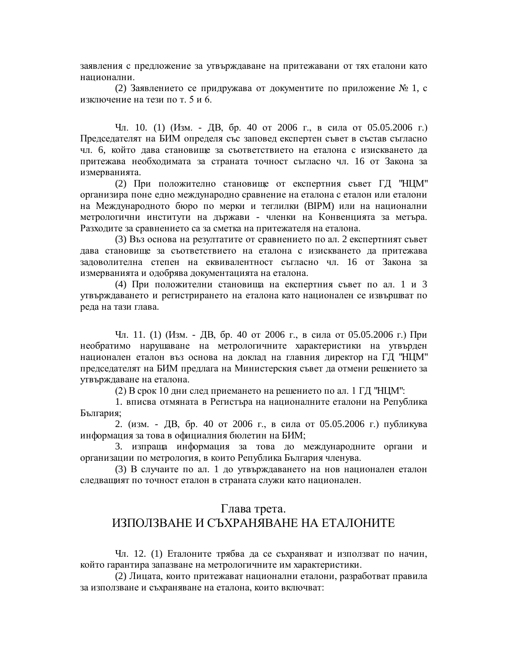заявления с предложение за утвърждаване на притежавани от тях еталони като национални.

(2) Заявлението се придружава от документите по приложение № 1, с изключение на тези по т. 5 и 6.

Чл. 10. (1) (Изм. - ДВ, бр. 40 от 2006 г., в сила от 05.05.2006 г.) Председателят на БИМ определя със заповед експертен съвет в състав съгласно чл. 6, който дава становище за съответствието на еталона с изискването да притежава необходимата за страната точност съгласно чл. 16 от Закона за измерванията.

(2) При положително становище от експертния съвет ГД "НЦМ" организира поне едно международно сравнение на еталона с еталон или еталони на Международното бюро по мерки и теглилки (BIPM) или на национални метрологични институти на държави - членки на Конвенцията за метъра. Разходите за сравнението са за сметка на притежателя на еталона.

(3) Въз основа на резултатите от сравнението по ал. 2 експертният съвет дава становище за съответствието на еталона с изискването да притежава задоволителна степен на еквивалентност съгласно чл. 16 от Закона за измерванията и одобрява документацията на еталона.

(4) При положителни становища на експертния съвет по ал. 1 и 3 утвърждаването и регистрирането на еталона като национален се извършват по реда на тази глава.

Чл. 11. (1) (Изм. - ДВ, бр. 40 от 2006 г., в сила от 05.05.2006 г.) При необратимо нарушаване на метрологичните характеристики на угвърден национален еталон въз основа на доклад на главния директор на ГД "НЦМ" председателят на БИМ предлага на Министерския съвет да отмени решението за утвърждаване на еталона.

(2) В срок 10 дни след приемането на решението по ал. 1 ГД "НЦМ":

1. вписва отмяната в Регистъра на националните еталони на Република България;

2. (изм. - ДВ, бр. 40 от 2006 г., в сила от 05.05.2006 г.) публикува информация за това в официалния бюлетин на БИМ;

3. изпраща информация за това до международните органи и организации по метрология, в които Република България членува.

(3) В случаите по ал. 1 до утвърждаването на нов национален еталон следващият по точност еталон в страната служи като национален.

#### Глава трета.

## ИЗПОЛЗВАНЕ И СЪХРАНЯВАНЕ НА ЕТАЛОНИТЕ

Чл. 12. (1) Еталоните трябва да се съхраняват и използват по начин, който гарантира запазване на метрологичните им характеристики.

(2) Лицата, които притежават национални еталони, разработват правила за използване и съхраняване на еталона, които включват: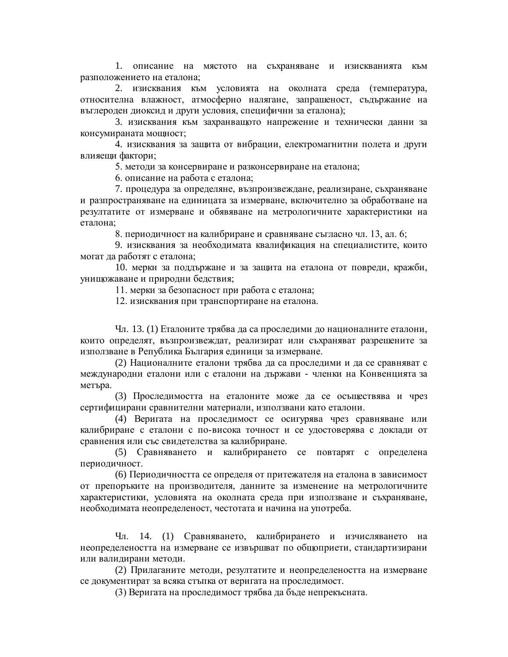1. описание на мястото на съхраняване и изискванията към разположението на еталона;

2. изисквания към условията на околната среда (температура, относителна влажност, атмосферно налягане, запрашеност, съдържание на въглероден диоксид и други условия, специфични за еталона);

3. изисквания към захранващото напрежение и технически данни за консумираната мощност;

4. изисквания за защита от вибрации, електромагнитни полета и други влияещи фактори;

5. методи за консервиране и разконсервиране на еталона;

6. описание на работа с еталона;

7. процедура за определяне, възпроизвеждане, реализиране, съхраняване и разпространяване на единицата за измерване, включително за обработване на резултатите от измерване и обявяване на метрологичните характеристики на еталона:

8. периодичност на калибриране и сравняване съгласно чл. 13, ал. 6;

9. изисквания за необходимата квалификация на специалистите, които могат да работят с еталона;

10. мерки за поддържане и за защита на еталона от повреди, кражби, унищожаване и природни бедствия;

11. мерки за безопасност при работа с еталона;

12. изисквания при транспортиране на еталона.

Чл. 13. (1) Еталоните трябва да са проследими до националните еталони, които определят, възпроизвеждат, реализират или съхраняват разрешените за използване в Република България единици за измерване.

(2) Националните еталони трябва да са проследими и да се сравняват с международни еталони или с еталони на държави - членки на Конвенцията за метъра.

(3) Проследимостта на еталоните може да се осъществява и чрез сертифицирани сравнителни материали, използвани като еталони.

(4) Веригата на проследимост се осигурява чрез сравняване или калибриране с еталони с по-висока точност и се удостоверява с доклади от сравнения или със свидетелства за калибриране.

(5) Сравняването и калибрирането се повтарят с определена периодичност.

(6) Периодичността се определя от притежателя на еталона в зависимост от препоръките на производителя, данните за изменение на метрологичните характеристики, условията на околната среда при използване и съхраняване, необходимата неопределеност, честотата и начина на употреба.

Чл. 14. (1) Сравняването, калибрирането и изчисляването на неопределеността на измерване се извършват по общоприети, стандартизирани или валидирани методи.

(2) Прилаганите методи, резултатите и неопределеността на измерване се документират за всяка стъпка от веригата на проследимост.

(3) Веригата на проследимост трябва да бъде непрекъсната.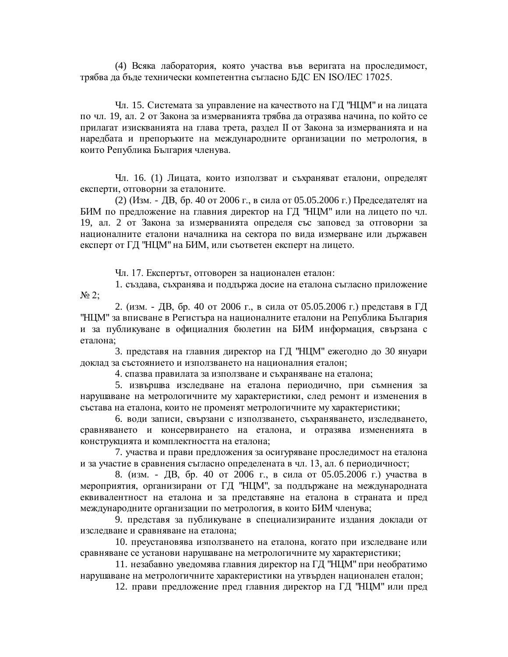(4) Всяка лаборатория, която участва във веригата на проследимост, трябва да бъде технически компетентна съгласно БДС EN ISO/IEC 17025.

Чл. 15. Системата за управление на качеството на ГД "НЦМ" и на лицата по чл. 19, ал. 2 от Закона за измерванията трябва да отразява начина, по който се прилагат изискванията на глава трета, раздел II от Закона за измерванията и на наредбата и препоръките на международните организации по метрология, в които Република България членува.

Чл. 16. (1) Лицата, които използват и съхраняват еталони, определят експерти, отговорни за еталоните.

(2) (Изм. - ДВ, бр. 40 от 2006 г., в сила от 05.05.2006 г.) Председателят на БИМ по предложение на главния директор на ГД "НЦМ" или на лицето по чл. 19, ал. 2 от Закона за измерванията определя със заповед за отговорни за националните еталони началника на сектора по вида измерване или държавен експерт от ГД "НЦМ" на БИМ, или съответен експерт на лицето.

Чл. 17. Експертът, отговорен за национален еталон:

1. създава, съхранява и поддържа досие на еталона съгласно приложение  $N<sub>2</sub>$ :

2. (изм. - ДВ, бр. 40 от 2006 г., в сила от 05.05.2006 г.) представя в ГД "НЦМ" за вписване в Регистъра на националните еталони на Република България и за публикуване в официалния бюлетин на БИМ информация, свързана с еталона:

3. представя на главния директор на ГД "НЦМ" ежегодно до 30 януари доклад за състоянието и използването на националния еталон;

4. спазва правилата за използване и съхраняване на еталона;

5. извършва изследване на еталона периодично, при съмнения за нарушаване на метрологичните му характеристики, след ремонт и изменения в състава на еталона, които не променят метрологичните му характеристики;

6. води записи, свързани с използването, съхраняването, изследването, сравняването и консервирането на еталона, и отразява измененията в конструкцията и комплектността на еталона;

7. участва и прави предложения за осигуряване проследимост на еталона и за участие в сравнения съгласно определената в чл. 13, ал. 6 периодичност;

8. (изм. - ДВ, бр. 40 от 2006 г., в сила от 05.05.2006 г.) участва в мероприятия, организирани от ГД "НЦМ", за поддържане на международната еквивалентност на еталона и за представяне на еталона в страната и пред международните организации по метрология, в които БИМ членува;

9. представя за публикуване в специализираните издания доклади от изследване и сравняване на еталона;

10. преустановява използването на еталона, когато при изследване или сравняване се установи нарушаване на метрологичните му характеристики;

11. незабавно уведомява главния директор на ГД "НЦМ" при необратимо нарушаване на метрологичните характеристики на утвърден национален еталон;

12. прави предложение пред главния директор на ГД "НЦМ" или пред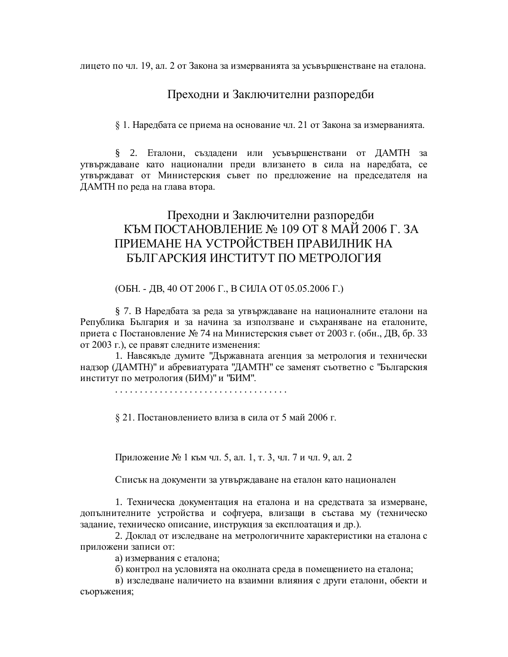лицето по чл. 19, ал. 2 от Закона за измерванията за усъвършенстване на еталона.

### Преходни и Заключителни разпоредби

§ 1. Наредбата се приема на основание чл. 21 от Закона за измерванията.

§ 2. Еталони, създадени или усъвършенствани от ДАМТН за утвърждаване като национални преди влизането в сила на наредбата, се утвърждават от Министерския съвет по предложение на председателя на ДАМТН по реда на глава втора.

# Преходни и Заключителни разпоредби КЪМ ПОСТАНОВЛЕНИЕ № 109 ОТ 8 МАЙ 2006 Г. ЗА ПРИЕМАНЕ НА УСТРОЙСТВЕН ПРАВИЛНИК НА БЪЛГАРСКИЯ ИНСТИТУТ ПО МЕТРОЛОГИЯ

(ОБН. - ДВ, 40 ОТ 2006 Г., В СИЛА ОТ 05.05.2006 Г.)

§ 7. В Наредбата за реда за утвърждаване на националните еталони на Република България и за начина за използване и съхраняване на еталоните, приета с Постановление № 74 на Министерския съвет от 2003 г. (обн., ДВ, бр. 33 от 2003 г.), се правят следните изменения:

1. Навсякъде думите "Държавната агенция за метрология и технически надзор (ДАМТН)" и абревиатурата "ДАМТН" се заменят съответно с "Българския институт по метрология (БИМ)" и "БИМ".

. . . . . . . . . . . . . . . . . . . . . . . . . . . . . . . . . . .

§ 21. Постановлението влиза в сила от 5 май 2006 г.

Приложение № 1 към чл. 5, ал. 1, т. 3, чл. 7 и чл. 9, ал. 2

Списък на документи за утвърждаване на еталон като национален

1. Техническа документация на еталона и на средствата за измерване, допълнителните устройства и софтуера, влизащи в състава му (техническо задание, техническо описание, инструкция за експлоатация и др.).

2. Доклад от изследване на метрологичните характеристики на еталона с приложени записи от:

а) измервания с еталона;

б) контрол на условията на околната среда в помещението на еталона;

в) изследване наличието на взаимни влияния с други еталони, обекти и съоръжения;